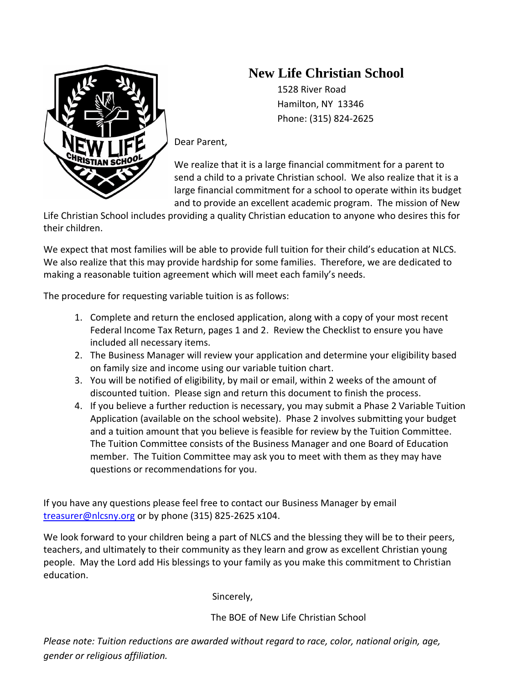## **New Life Christian School**

 1528 River Road Hamilton, NY 13346 Phone: (315) 824-2625

Dear Parent,

We realize that it is a large financial commitment for a parent to send a child to a private Christian school. We also realize that it is a large financial commitment for a school to operate within its budget and to provide an excellent academic program. The mission of New

Life Christian School includes providing a quality Christian education to anyone who desires this for their children.

We expect that most families will be able to provide full tuition for their child's education at NLCS. We also realize that this may provide hardship for some families. Therefore, we are dedicated to making a reasonable tuition agreement which will meet each family's needs.

The procedure for requesting variable tuition is as follows:

- 1. Complete and return the enclosed application, along with a copy of your most recent Federal Income Tax Return, pages 1 and 2. Review the Checklist to ensure you have included all necessary items.
- 2. The Business Manager will review your application and determine your eligibility based on family size and income using our variable tuition chart.
- 3. You will be notified of eligibility, by mail or email, within 2 weeks of the amount of discounted tuition. Please sign and return this document to finish the process.
- 4. If you believe a further reduction is necessary, you may submit a Phase 2 Variable Tuition Application (available on the school website). Phase 2 involves submitting your budget and a tuition amount that you believe is feasible for review by the Tuition Committee. The Tuition Committee consists of the Business Manager and one Board of Education member. The Tuition Committee may ask you to meet with them as they may have questions or recommendations for you.

If you have any questions please feel free to contact our Business Manager by email [treasurer@nlcsny.org](mailto:treasurer@nlcsny.org) or by phone (315) 825-2625 x104.

We look forward to your children being a part of NLCS and the blessing they will be to their peers, teachers, and ultimately to their community as they learn and grow as excellent Christian young people. May the Lord add His blessings to your family as you make this commitment to Christian education.

Sincerely,

The BOE of New Life Christian School

*Please note: Tuition reductions are awarded without regard to race, color, national origin, age, gender or religious affiliation.*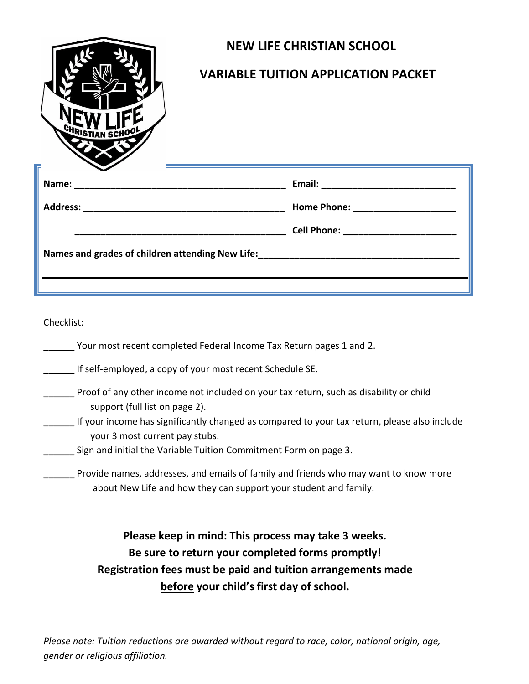| <sup>I</sup> STIAN SCH | <b>NEW LIFE CHRISTIAN SCHOOL</b><br><b>VARIABLE TUITION APPLICATION PACKET</b>                                                                                                                                                   |
|------------------------|----------------------------------------------------------------------------------------------------------------------------------------------------------------------------------------------------------------------------------|
|                        |                                                                                                                                                                                                                                  |
|                        |                                                                                                                                                                                                                                  |
|                        |                                                                                                                                                                                                                                  |
|                        | Names and grades of children attending New Life:<br>1992. The Life: 2002. 2003. The Cameran Manusch of Children attending New Life: 2004. Life: 2004. 2004. 2004. 2004. 2004. 2004. 2004. 2004. 2004. 2004. 2004. 2004. 2004. 20 |
|                        |                                                                                                                                                                                                                                  |

Checklist:

| Your most recent completed Federal Income Tax Return pages 1 and 2. |  |  |
|---------------------------------------------------------------------|--|--|
|                                                                     |  |  |

\_\_\_\_\_\_ If self-employed, a copy of your most recent Schedule SE.

- \_\_\_\_\_\_ Proof of any other income not included on your tax return, such as disability or child support (full list on page 2).
	- If your income has significantly changed as compared to your tax return, please also include your 3 most current pay stubs.
- **Sign and initial the Variable Tuition Commitment Form on page 3.**

Provide names, addresses, and emails of family and friends who may want to know more about New Life and how they can support your student and family.

> **Please keep in mind: This process may take 3 weeks. Be sure to return your completed forms promptly! Registration fees must be paid and tuition arrangements made before your child's first day of school.**

*Please note: Tuition reductions are awarded without regard to race, color, national origin, age, gender or religious affiliation.*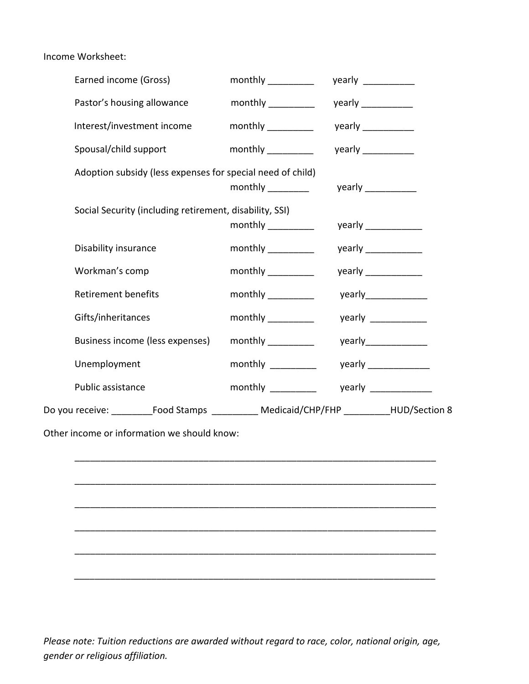Income Worksheet:

| Earned income (Gross)                                                                           | $\mathsf{monthly} \_\_$                                  | yearly $\frac{1}{2}$                                    |
|-------------------------------------------------------------------------------------------------|----------------------------------------------------------|---------------------------------------------------------|
| Pastor's housing allowance                                                                      | monthly $\frac{1}{1}$                                    | yearly $\_\_\_\_\_\_\_\_\_\_\_\_\_\_\_\_$               |
| Interest/investment income                                                                      |                                                          | yearly $\frac{1}{\sqrt{1-\frac{1}{2}}\cdot\frac{1}{2}}$ |
| Spousal/child support                                                                           |                                                          | yearly $\frac{1}{2}$                                    |
| Adoption subsidy (less expenses for special need of child)                                      |                                                          | yearly ____________                                     |
| Social Security (including retirement, disability, SSI)                                         |                                                          |                                                         |
| Disability insurance                                                                            |                                                          | yearly $\frac{1}{2}$                                    |
| Workman's comp                                                                                  | monthly $\frac{1}{\sqrt{1-\frac{1}{2}}\cdot\frac{1}{2}}$ | yearly _____________                                    |
| <b>Retirement benefits</b>                                                                      | monthly _________                                        |                                                         |
| Gifts/inheritances                                                                              | monthly                                                  | yearly $\frac{1}{2}$                                    |
| Business income (less expenses)                                                                 |                                                          | yearly_______________                                   |
| Unemployment                                                                                    | monthly _________                                        | yearly $\frac{1}{2}$                                    |
| Public assistance                                                                               | monthly __________                                       | yearly $\frac{1}{2}$                                    |
| Do you receive: ____________Food Stamps _____________ Medicaid/CHP/FHP ___________HUD/Section 8 |                                                          |                                                         |
| Other income or information we should know:                                                     |                                                          |                                                         |
|                                                                                                 |                                                          |                                                         |
|                                                                                                 |                                                          |                                                         |
|                                                                                                 |                                                          |                                                         |
|                                                                                                 |                                                          |                                                         |

*Please note: Tuition reductions are awarded without regard to race, color, national origin, age, gender or religious affiliation.*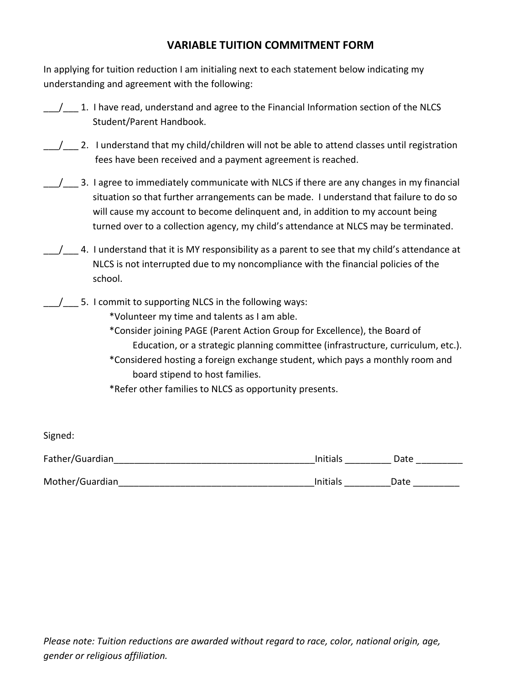## **VARIABLE TUITION COMMITMENT FORM**

In applying for tuition reduction I am initialing next to each statement below indicating my understanding and agreement with the following:

| 1. I have read, understand and agree to the Financial Information section of the NLCS |
|---------------------------------------------------------------------------------------|
| Student/Parent Handbook.                                                              |

- \_\_/\_\_ 2. I understand that my child/children will not be able to attend classes until registration fees have been received and a payment agreement is reached.
- 1. All agree to immediately communicate with NLCS if there are any changes in my financial situation so that further arrangements can be made. I understand that failure to do so will cause my account to become delinquent and, in addition to my account being turned over to a collection agency, my child's attendance at NLCS may be terminated.
- $\frac{1}{4}$ . I understand that it is MY responsibility as a parent to see that my child's attendance at NLCS is not interrupted due to my noncompliance with the financial policies of the school.
- / 5. I commit to supporting NLCS in the following ways:

\*Volunteer my time and talents as I am able.

- \*Consider joining PAGE (Parent Action Group for Excellence), the Board of Education, or a strategic planning committee (infrastructure, curriculum, etc.).
- \*Considered hosting a foreign exchange student, which pays a monthly room and board stipend to host families.
- \*Refer other families to NLCS as opportunity presents.

| Signed:         |          |      |  |
|-----------------|----------|------|--|
| Father/Guardian | Initials | Date |  |
| Mother/Guardian | Initials | Date |  |